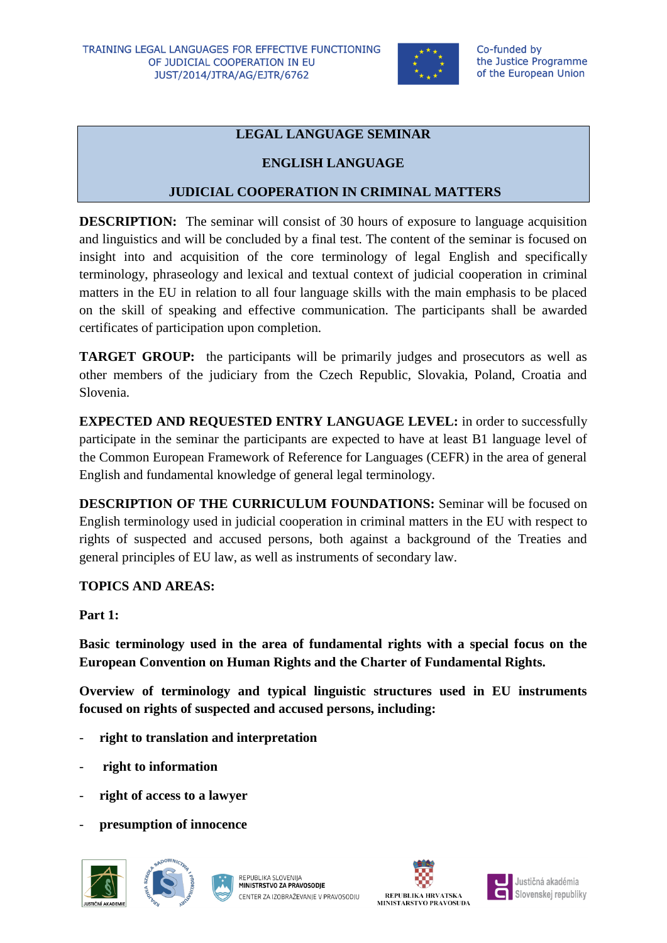

## **LEGAL LANGUAGE SEMINAR**

## **ENGLISH LANGUAGE**

## **JUDICIAL COOPERATION IN CRIMINAL MATTERS**

**DESCRIPTION:** The seminar will consist of 30 hours of exposure to language acquisition and linguistics and will be concluded by a final test. The content of the seminar is focused on insight into and acquisition of the core terminology of legal English and specifically terminology, phraseology and lexical and textual context of judicial cooperation in criminal matters in the EU in relation to all four language skills with the main emphasis to be placed on the skill of speaking and effective communication. The participants shall be awarded certificates of participation upon completion.

**TARGET GROUP:** the participants will be primarily judges and prosecutors as well as other members of the judiciary from the Czech Republic, Slovakia, Poland, Croatia and Slovenia.

**EXPECTED AND REQUESTED ENTRY LANGUAGE LEVEL:** in order to successfully participate in the seminar the participants are expected to have at least B1 language level of the Common European Framework of Reference for Languages (CEFR) in the area of general English and fundamental knowledge of general legal terminology.

**DESCRIPTION OF THE CURRICULUM FOUNDATIONS:** Seminar will be focused on English terminology used in judicial cooperation in criminal matters in the EU with respect to rights of suspected and accused persons, both against a background of the Treaties and general principles of EU law, as well as instruments of secondary law.

#### **TOPICS AND AREAS:**

**Part 1:**

**Basic terminology used in the area of fundamental rights with a special focus on the European Convention on Human Rights and the Charter of Fundamental Rights.**

**Overview of terminology and typical linguistic structures used in EU instruments focused on rights of suspected and accused persons, including:**

- **right to translation and interpretation**
- **right to information**
- right of access to a lawyer
- **presumption of innocence**







Justičná akadémia Slovenskej republiky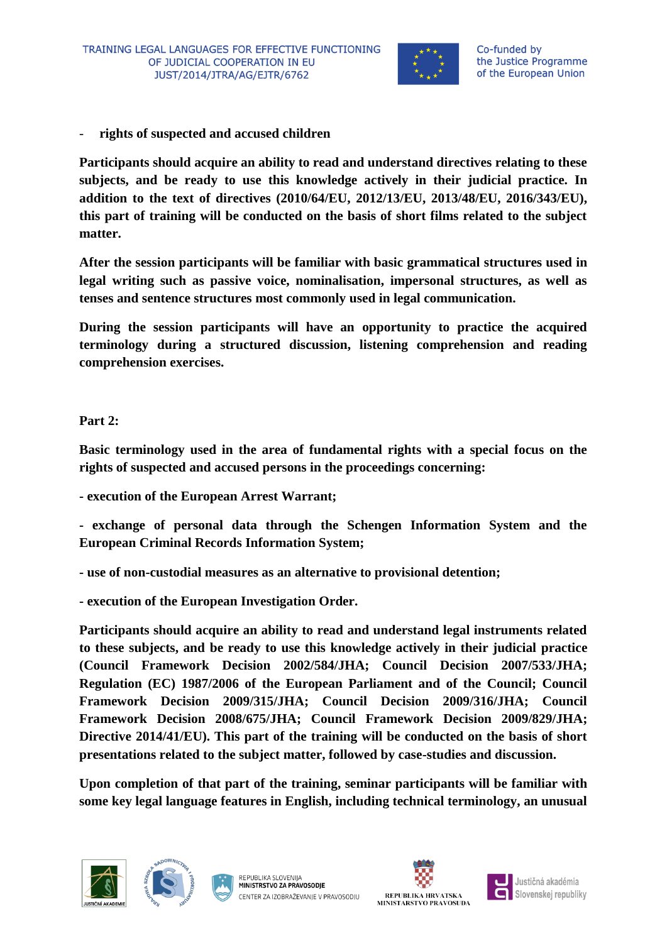

- **rights of suspected and accused children**

**Participants should acquire an ability to read and understand directives relating to these subjects, and be ready to use this knowledge actively in their judicial practice. In addition to the text of directives (2010/64/EU, 2012/13/EU, 2013/48/EU, 2016/343/EU), this part of training will be conducted on the basis of short films related to the subject matter.**

**After the session participants will be familiar with basic grammatical structures used in legal writing such as passive voice, nominalisation, impersonal structures, as well as tenses and sentence structures most commonly used in legal communication.**

**During the session participants will have an opportunity to practice the acquired terminology during a structured discussion, listening comprehension and reading comprehension exercises.**

**Part 2:**

**Basic terminology used in the area of fundamental rights with a special focus on the rights of suspected and accused persons in the proceedings concerning:**

**- execution of the European Arrest Warrant;**

**- exchange of personal data through the Schengen Information System and the European Criminal Records Information System;**

- **- use of non-custodial measures as an alternative to provisional detention;**
- **- execution of the European Investigation Order.**

**Participants should acquire an ability to read and understand legal instruments related to these subjects, and be ready to use this knowledge actively in their judicial practice (Council Framework Decision 2002/584/JHA; Council Decision 2007/533/JHA; Regulation (EC) 1987/2006 of the European Parliament and of the Council; Council Framework Decision 2009/315/JHA; Council Decision 2009/316/JHA; Council Framework Decision 2008/675/JHA; Council Framework Decision 2009/829/JHA; Directive 2014/41/EU). This part of the training will be conducted on the basis of short presentations related to the subject matter, followed by case-studies and discussion.**

**Upon completion of that part of the training, seminar participants will be familiar with some key legal language features in English, including technical terminology, an unusual** 









Justičná akadémia Slovenskej republiky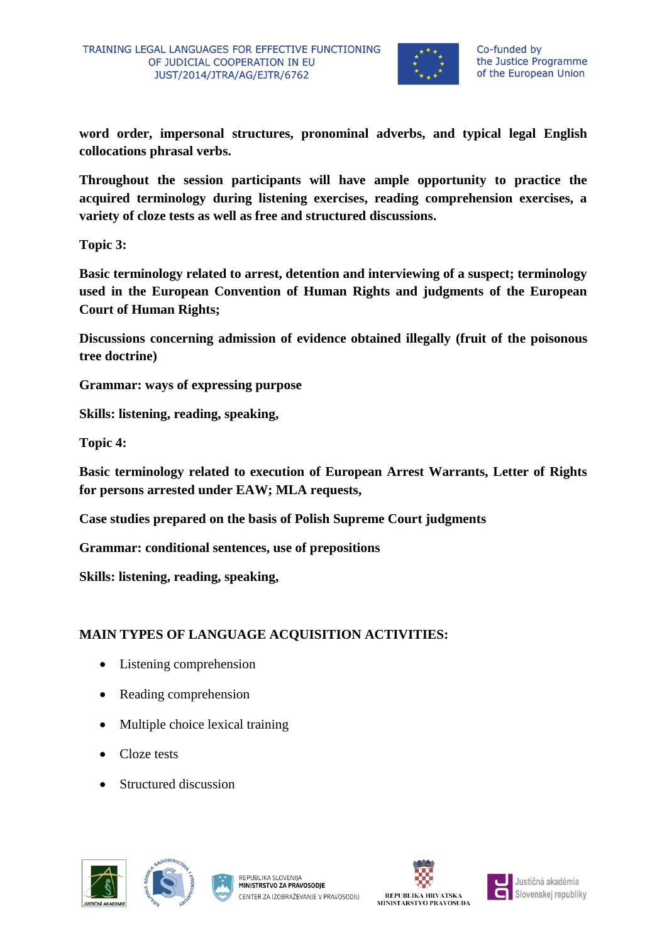

**word order, impersonal structures, pronominal adverbs, and typical legal English collocations phrasal verbs.**

**Throughout the session participants will have ample opportunity to practice the acquired terminology during listening exercises, reading comprehension exercises, a variety of cloze tests as well as free and structured discussions.**

**Topic 3:** 

**Basic terminology related to arrest, detention and interviewing of a suspect; terminology used in the European Convention of Human Rights and judgments of the European Court of Human Rights;** 

**Discussions concerning admission of evidence obtained illegally (fruit of the poisonous tree doctrine)**

**Grammar: ways of expressing purpose**

**Skills: listening, reading, speaking,** 

**Topic 4:**

**Basic terminology related to execution of European Arrest Warrants, Letter of Rights for persons arrested under EAW; MLA requests,** 

**Case studies prepared on the basis of Polish Supreme Court judgments**

**Grammar: conditional sentences, use of prepositions** 

**Skills: listening, reading, speaking,** 

# **MAIN TYPES OF LANGUAGE ACQUISITION ACTIVITIES:**

- Listening comprehension
- Reading comprehension
- Multiple choice lexical training
- Cloze tests
- Structured discussion







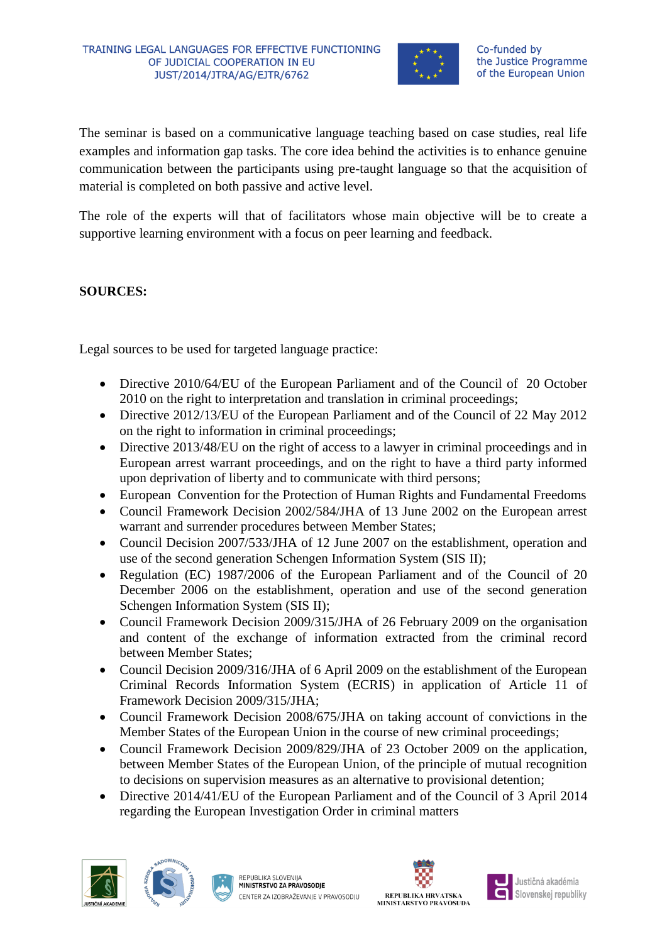

The seminar is based on a communicative language teaching based on case studies, real life examples and information gap tasks. The core idea behind the activities is to enhance genuine communication between the participants using pre-taught language so that the acquisition of material is completed on both passive and active level.

The role of the experts will that of facilitators whose main objective will be to create a supportive learning environment with a focus on peer learning and feedback.

## **SOURCES:**

Legal sources to be used for targeted language practice:

- Directive 2010/64/EU of the European Parliament and of the Council of 20 October 2010 on the right to interpretation and translation in criminal proceedings;
- Directive 2012/13/EU of the European Parliament and of the Council of 22 May 2012 on the right to information in criminal proceedings;
- Directive 2013/48/EU on the right of access to a lawyer in criminal proceedings and in European arrest warrant proceedings, and on the right to have a third party informed upon deprivation of liberty and to communicate with third persons;
- European Convention for the Protection of Human Rights and Fundamental Freedoms
- Council Framework Decision 2002/584/JHA of 13 June 2002 on the European arrest warrant and surrender procedures between Member States;
- Council Decision 2007/533/JHA of 12 June 2007 on the establishment, operation and use of the second generation Schengen Information System (SIS II);
- Regulation (EC) 1987/2006 of the European Parliament and of the Council of 20 December 2006 on the establishment, operation and use of the second generation Schengen Information System (SIS II);
- Council Framework Decision 2009/315/JHA of 26 February 2009 on the organisation and content of the exchange of information extracted from the criminal record between Member States;
- Council Decision 2009/316/JHA of 6 April 2009 on the establishment of the European Criminal Records Information System (ECRIS) in application of Article 11 of Framework Decision 2009/315/JHA;
- Council Framework Decision 2008/675/JHA on taking account of convictions in the Member States of the European Union in the course of new criminal proceedings;
- Council Framework Decision 2009/829/JHA of 23 October 2009 on the application, between Member States of the European Union, of the principle of mutual recognition to decisions on supervision measures as an alternative to provisional detention;
- Directive 2014/41/EU of the European Parliament and of the Council of 3 April 2014 regarding the European Investigation Order in criminal matters